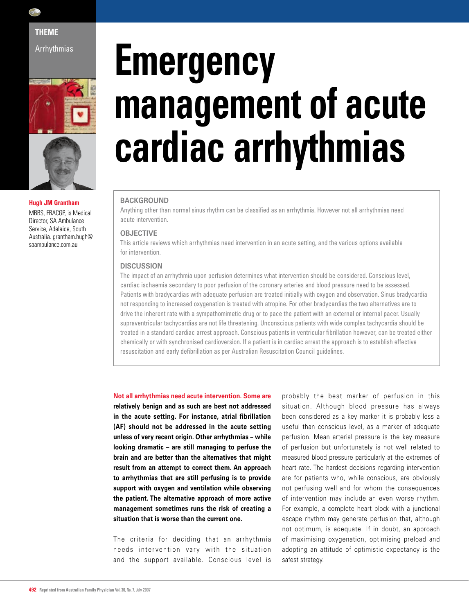

Arrhythmias



**Hugh JM Grantham**  MBBS, FRACGP, is Medical

Director, SA Ambulance Service, Adelaide, South Australia. grantham.hugh@ saambulance.com.au

# **Emergency management of acute cardiac arrhythmias**

# **BACKGROUND**

Anything other than normal sinus rhythm can be classified as an arrhythmia. However not all arrhythmias need acute intervention.

### **OBJECTIVE**

This article reviews which arrhythmias need intervention in an acute setting, and the various options available for intervention.

## **DISCUSSION**

The impact of an arrhythmia upon perfusion determines what intervention should be considered. Conscious level, cardiac ischaemia secondary to poor perfusion of the coronary arteries and blood pressure need to be assessed. Patients with bradycardias with adequate perfusion are treated initially with oxygen and observation. Sinus bradycardia not responding to increased oxygenation is treated with atropine. For other bradycardias the two alternatives are to drive the inherent rate with a sympathomimetic drug or to pace the patient with an external or internal pacer. Usually supraventricular tachycardias are not life threatening. Unconscious patients with wide complex tachycardia should be treated in a standard cardiac arrest approach. Conscious patients in ventricular fibrillation however, can be treated either chemically or with synchronised cardioversion. If a patient is in cardiac arrest the approach is to establish effective resuscitation and early defibrillation as per Australian Resuscitation Council guidelines.

**Not all arrhythmias need acute intervention. Some are relatively benign and as such are best not addressed in the acute setting. For instance, atrial fibrillation (AF) should not be addressed in the acute setting unless of very recent origin. Other arrhythmias – while looking dramatic – are still managing to perfuse the brain and are better than the alternatives that might result from an attempt to correct them. An approach to arrhythmias that are still perfusing is to provide support with oxygen and ventilation while observing the patient. The alternative approach of more active management sometimes runs the risk of creating a situation that is worse than the current one.**

The criteria for deciding that an arrhythmia needs intervention vary with the situation and the support available. Conscious level is

probably the best marker of perfusion in this situation. Although blood pressure has always been considered as a key marker it is probably less a useful than conscious level, as a marker of adequate perfusion. Mean arterial pressure is the key measure of perfusion but unfortunately is not well related to measured blood pressure particularly at the extremes of heart rate. The hardest decisions regarding intervention are for patients who, while conscious, are obviously not perfusing well and for whom the consequences of intervention may include an even worse rhythm. For example, a complete heart block with a junctional escape rhythm may generate perfusion that, although not optimum, is adequate. If in doubt, an approach of maximising oxygenation, optimising preload and adopting an attitude of optimistic expectancy is the safest strategy.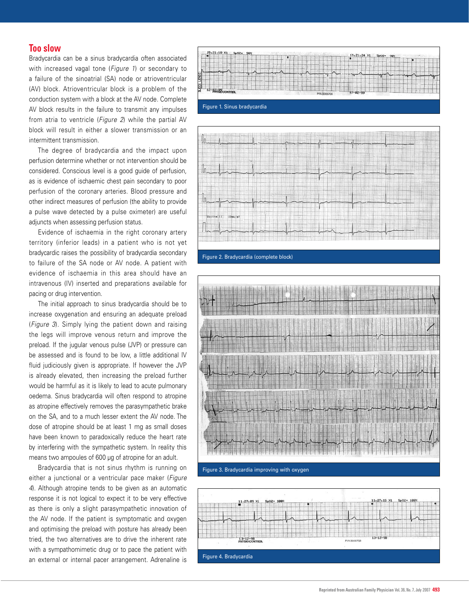# **Too slow**

Bradycardia can be a sinus bradycardia often associated with increased vagal tone (*Figure 1*) or secondary to a failure of the sinoatrial (SA) node or atrioventricular (AV) block. Atrioventricular block is a problem of the conduction system with a block at the AV node. Complete AV block results in the failure to transmit any impulses from atria to ventricle (*Figure 2*) while the partial AV block will result in either a slower transmission or an intermittent transmission.

 The degree of bradycardia and the impact upon perfusion determine whether or not intervention should be considered. Conscious level is a good guide of perfusion, as is evidence of ischaemic chest pain secondary to poor perfusion of the coronary arteries. Blood pressure and other indirect measures of perfusion (the ability to provide a pulse wave detected by a pulse oximeter) are useful adjuncts when assessing perfusion status.

 Evidence of ischaemia in the right coronary artery territory (inferior leads) in a patient who is not yet bradycardic raises the possibility of bradycardia secondary to failure of the SA node or AV node. A patient with evidence of ischaemia in this area should have an intravenous (IV) inserted and preparations available for pacing or drug intervention.

 The initial approach to sinus bradycardia should be to increase oxygenation and ensuring an adequate preload (*Figure 3*). Simply lying the patient down and raising the legs will improve venous return and improve the preload. If the jugular venous pulse (JVP) or pressure can be assessed and is found to be low, a little additional IV fluid judiciously given is appropriate. If however the JVP is already elevated, then increasing the preload further would be harmful as it is likely to lead to acute pulmonary oedema. Sinus bradycardia will often respond to atropine as atropine effectively removes the parasympathetic brake on the SA, and to a much lesser extent the AV node. The dose of atropine should be at least 1 mg as small doses have been known to paradoxically reduce the heart rate by interfering with the sympathetic system. In reality this means two ampoules of 600 µg of atropine for an adult.

 Bradycardia that is not sinus rhythm is running on either a junctional or a ventricular pace maker (*Figure 4*). Although atropine tends to be given as an automatic response it is not logical to expect it to be very effective as there is only a slight parasympathetic innovation of the AV node. If the patient is symptomatic and oxygen and optimising the preload with posture has already been tried, the two alternatives are to drive the inherent rate with a sympathomimetic drug or to pace the patient with an external or internal pacer arrangement. Adrenaline is Figure 4. Bradycardia







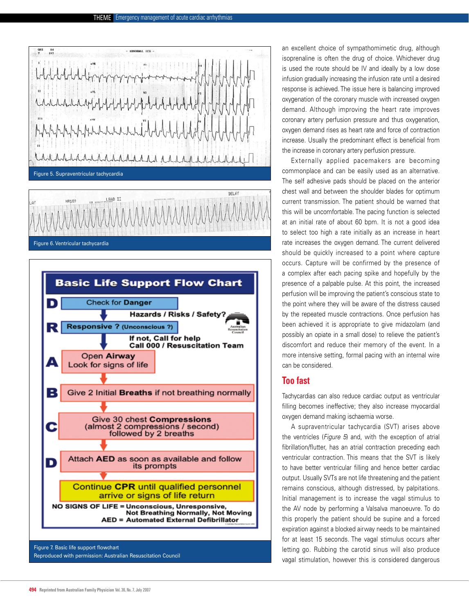$\frac{14}{197}$ ABNORMAL RICCI hhhhhhh hhhhhh Figure 5. Supraventricular tachycardia LEAD II **HP18** *AAAAAA* 

Figure 6. Ventricular tachycardia



Reproduced with permission: Australian Resuscitation Council

an excellent choice of sympathomimetic drug, although isoprenaline is often the drug of choice. Whichever drug is used the route should be IV and ideally by a low dose infusion gradually increasing the infusion rate until a desired response is achieved. The issue here is balancing improved oxygenation of the coronary muscle with increased oxygen demand. Although improving the heart rate improves coronary artery perfusion pressure and thus oxygenation, oxygen demand rises as heart rate and force of contraction increase. Usually the predominant effect is beneficial from the increase in coronary artery perfusion pressure.

 Externally applied pacemakers are becoming commonplace and can be easily used as an alternative. The self adhesive pads should be placed on the anterior chest wall and between the shoulder blades for optimum current transmission. The patient should be warned that this will be uncomfortable. The pacing function is selected at an initial rate of about 60 bpm. It is not a good idea to select too high a rate initially as an increase in heart rate increases the oxygen demand. The current delivered should be quickly increased to a point where capture occurs. Capture will be confirmed by the presence of a complex after each pacing spike and hopefully by the presence of a palpable pulse. At this point, the increased perfusion will be improving the patient's conscious state to the point where they will be aware of the distress caused by the repeated muscle contractions. Once perfusion has been achieved it is appropriate to give midazolam (and possibly an opiate in a small dose) to relieve the patient's discomfort and reduce their memory of the event. In a more intensive setting, formal pacing with an internal wire can be considered.

# **Too fast**

Tachycardias can also reduce cardiac output as ventricular filling becomes ineffective; they also increase myocardial oxygen demand making ischaemia worse.

 A supraventricular tachycardia (SVT) arises above the ventricles (*Figure 5*) and, with the exception of atrial fibrillation/flutter, has an atrial contraction preceding each ventricular contraction. This means that the SVT is likely to have better ventricular filling and hence better cardiac output. Usually SVTs are not life threatening and the patient remains conscious, although distressed, by palpitations. Initial management is to increase the vagal stimulus to the AV node by performing a Valsalva manoeuvre. To do this properly the patient should be supine and a forced expiration against a blocked airway needs to be maintained for at least 15 seconds. The vagal stimulus occurs after letting go. Rubbing the carotid sinus will also produce vagal stimulation, however this is considered dangerous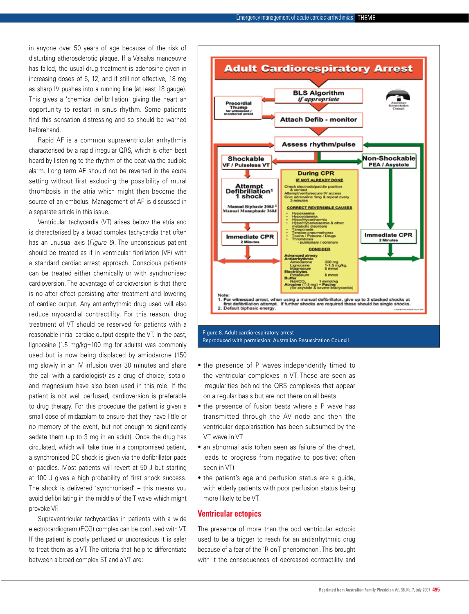in anyone over 50 years of age because of the risk of disturbing atherosclerotic plaque. If a Valsalva manoeuvre has failed, the usual drug treatment is adenosine given in increasing doses of 6, 12, and if still not effective, 18 mg as sharp IV pushes into a running line (at least 18 gauge). This gives a 'chemical defibrillation' giving the heart an opportunity to restart in sinus rhythm. Some patients find this sensation distressing and so should be warned beforehand.

 Rapid AF is a common supraventricular arrhythmia characterised by a rapid irregular QRS, which is often best heard by listening to the rhythm of the beat via the audible alarm. Long term AF should not be reverted in the acute setting without first excluding the possibility of mural thrombosis in the atria which might then become the source of an embolus. Management of AF is discussed in a separate article in this issue.

 Ventricular tachycardia (VT) arises below the atria and is characterised by a broad complex tachycardia that often has an unusual axis (*Figure 6*). The unconscious patient should be treated as if in ventricular fibrillation (VF) with a standard cardiac arrest approach. Conscious patients can be treated either chemically or with synchronised cardioversion. The advantage of cardioversion is that there is no after effect persisting after treatment and lowering of cardiac output. Any antiarrhythmic drug used will also reduce myocardial contractility. For this reason, drug treatment of VT should be reserved for patients with a reasonable initial cardiac output despite the VT. In the past, lignocaine (1.5 mg/kg=100 mg for adults) was commonly used but is now being displaced by amiodarone (150 mg slowly in an IV infusion over 30 minutes and share the call with a cardiologist) as a drug of choice; sotalol and magnesium have also been used in this role. If the patient is not well perfused, cardioversion is preferable to drug therapy. For this procedure the patient is given a small dose of midazolam to ensure that they have little or no memory of the event, but not enough to significantly sedate them (up to 3 mg in an adult). Once the drug has circulated, which will take time in a compromised patient, a synchronised DC shock is given via the defibrillator pads or paddles. Most patients will revert at 50 J but starting at 100 J gives a high probability of first shock success. The shock is delivered 'synchronised' – this means you avoid defibrillating in the middle of the T wave which might provoke VF.

 Supraventricular tachycardias in patients with a wide electrocardiogram (ECG) complex can be confused with VT. If the patient is poorly perfused or unconscious it is safer to treat them as a VT. The criteria that help to differentiate between a broad complex ST and a VT are:



Reproduced with permission: Australian Resuscitation Council

- the presence of P waves independently timed to the ventricular complexes in VT. These are seen as irregularities behind the QRS complexes that appear on a regular basis but are not there on all beats
- the presence of fusion beats where a P wave has transmitted through the AV node and then the ventricular depolarisation has been subsumed by the VT wave in VT
- an abnormal axis (often seen as failure of the chest, leads to progress from negative to positive; often seen in VT)
- the patient's age and perfusion status are a guide, with elderly patients with poor perfusion status being more likely to be VT.

### **Ventricular ectopics**

The presence of more than the odd ventricular ectopic used to be a trigger to reach for an antiarrhythmic drug because of a fear of the 'R on T phenomenon'. This brought with it the consequences of decreased contractility and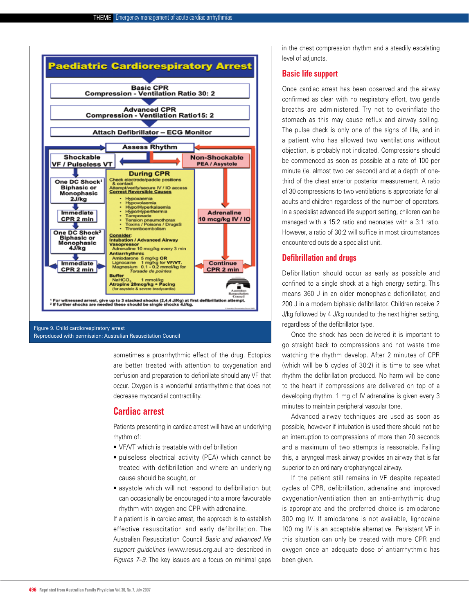

# Reproduced with permission: Australian Resuscitation Council

sometimes a proarrhythmic effect of the drug. Ectopics are better treated with attention to oxygenation and perfusion and preparation to defibrillate should any VF that occur. Oxygen is a wonderful antiarrhythmic that does not decrease myocardial contractility.

# **Cardiac arrest**

Patients presenting in cardiac arrest will have an underlying rhythm of:

- • VF/VT which is treatable with defibrillation
- pulseless electrical activity (PEA) which cannot be treated with defibrillation and where an underlying cause should be sought, or
- asystole which will not respond to defibrillation but can occasionally be encouraged into a more favourable rhythm with oxygen and CPR with adrenaline.

If a patient is in cardiac arrest, the approach is to establish effective resuscitation and early defibrillation. The Australian Resuscitation Council *Basic and advanced life support guidelines* (www.resus.org.au) are described in *Figures 7–9*. The key issues are a focus on minimal gaps

in the chest compression rhythm and a steadily escalating level of adjuncts.

# **Basic life support**

Once cardiac arrest has been observed and the airway confirmed as clear with no respiratory effort, two gentle breaths are administered. Try not to overinflate the stomach as this may cause reflux and airway soiling. The pulse check is only one of the signs of life, and in a patient who has allowed two ventilations without objection, is probably not indicated. Compressions should be commenced as soon as possible at a rate of 100 per minute (ie. almost two per second) and at a depth of onethird of the chest anterior posterior measurement. A ratio of 30 compressions to two ventilations is appropriate for all adults and children regardless of the number of operators. In a specialist advanced life support setting, children can be managed with a 15:2 ratio and neonates with a 3:1 ratio. However, a ratio of 30:2 will suffice in most circumstances encountered outside a specialist unit.

## **Defibrillation and drugs**

Defibrillation should occur as early as possible and confined to a single shock at a high energy setting. This means 360 J in an older monophasic defibrillator, and 200 J in a modern biphasic defibrillator. Children receive 2 J/kg followed by 4 J/kg rounded to the next higher setting, regardless of the defibrillator type.

 Once the shock has been delivered it is important to go straight back to compressions and not waste time watching the rhythm develop. After 2 minutes of CPR (which will be 5 cycles of 30:2) it is time to see what rhythm the defibrillation produced. No harm will be done to the heart if compressions are delivered on top of a developing rhythm. 1 mg of IV adrenaline is given every 3 minutes to maintain peripheral vascular tone.

 Advanced airway techniques are used as soon as possible, however if intubation is used there should not be an interruption to compressions of more than 20 seconds and a maximum of two attempts is reasonable. Failing this, a laryngeal mask airway provides an airway that is far superior to an ordinary oropharyngeal airway.

 If the patient still remains in VF despite repeated cycles of CPR, defibrillation, adrenaline and improved oxygenation/ventilation then an anti-arrhythmic drug is appropriate and the preferred choice is amiodarone 300 mg IV. If amiodarone is not available, lignocaine 100 mg IV is an acceptable alternative. Persistent VF in this situation can only be treated with more CPR and oxygen once an adequate dose of antiarrhythmic has been given.